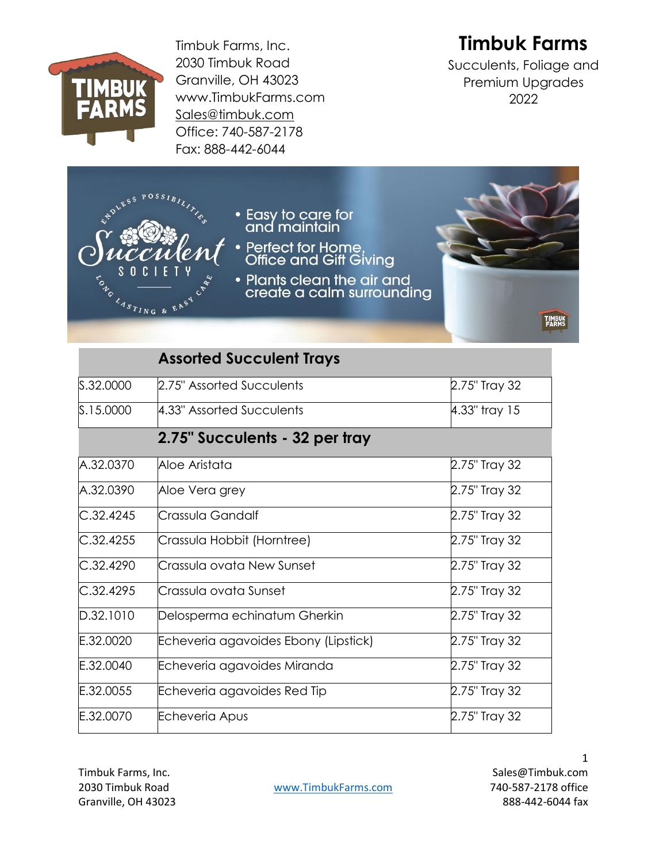

Timbuk Farms, Inc. 2030 Timbuk Road Granville, OH 43023 www.TimbukFarms.com [Sales@timbuk.com](mailto:Sales@timbuk.com) Office: 740-587-2178 Fax: 888-442-6044

## **Timbuk Farms**

Succulents, Foliage and Premium Upgrades 2022



|           | <b>Assorted Succulent Trays</b>      |               |  |
|-----------|--------------------------------------|---------------|--|
| S.32.0000 | 2.75" Assorted Succulents            | 2.75" Tray 32 |  |
| S.15.0000 | 4.33" Assorted Succulents            | 4.33" tray 15 |  |
|           | 2.75" Succulents - 32 per tray       |               |  |
| A.32.0370 | Aloe Aristata                        | 2.75" Tray 32 |  |
| A.32.0390 | Aloe Vera grey                       | 2.75" Tray 32 |  |
| C.32.4245 | Crassula Gandalf                     | 2.75" Tray 32 |  |
| C.32.4255 | Crassula Hobbit (Horntree)           | 2.75" Tray 32 |  |
| C.32.4290 | Crassula ovata New Sunset            | 2.75" Tray 32 |  |
| C.32.4295 | Crassula ovata Sunset                | 2.75" Tray 32 |  |
| D.32.1010 | Delosperma echinatum Gherkin         | 2.75" Tray 32 |  |
| E.32.0020 | Echeveria agavoides Ebony (Lipstick) | 2.75" Tray 32 |  |
| E.32.0040 | Echeveria agavoides Miranda          | 2.75" Tray 32 |  |
| E.32.0055 | Echeveria agavoides Red Tip          | 2.75" Tray 32 |  |
| E.32.0070 | Echeveria Apus                       | 2.75" Tray 32 |  |

Granville, OH 43023 888-442-6044 fax

2030 Timbuk Road [www.TimbukFarms.com](http://www.timbukfarms.com/) 740-587-2178 office

Timbuk Farms, Inc. Sales@Timbuk.com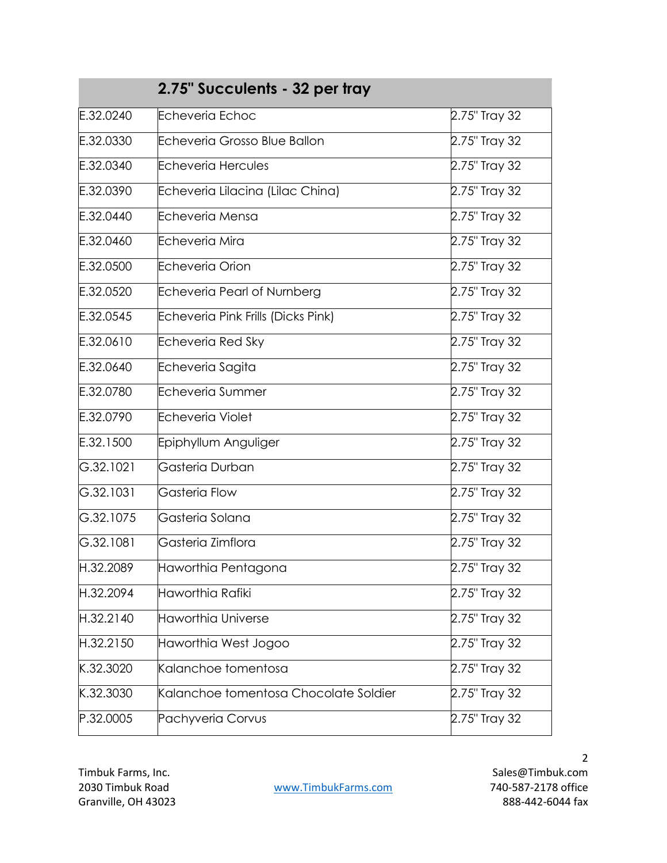| 2.75" Succulents - 32 per tray |                                       |               |
|--------------------------------|---------------------------------------|---------------|
| E.32.0240                      | <b>Echeveria Echoc</b>                | 2.75" Tray 32 |
| E.32.0330                      | Echeveria Grosso Blue Ballon          | 2.75" Tray 32 |
| E.32.0340                      | Echeveria Hercules                    | 2.75" Tray 32 |
| E.32.0390                      | Echeveria Lilacina (Lilac China)      | 2.75" Tray 32 |
| E.32.0440                      | Echeveria Mensa                       | 2.75" Tray 32 |
| E.32.0460                      | Echeveria Mira                        | 2.75" Tray 32 |
| E.32.0500                      | <b>Echeveria Orion</b>                | 2.75" Tray 32 |
| E.32.0520                      | Echeveria Pearl of Nurnberg           | 2.75" Tray 32 |
| E.32.0545                      | Echeveria Pink Frills (Dicks Pink)    | 2.75" Tray 32 |
| E.32.0610                      | Echeveria Red Sky                     | 2.75" Tray 32 |
| E.32.0640                      | Echeveria Sagita                      | 2.75" Tray 32 |
| E.32.0780                      | Echeveria Summer                      | 2.75" Tray 32 |
| E.32.0790                      | <b>Echeveria Violet</b>               | 2.75" Tray 32 |
| E.32.1500                      | Epiphyllum Anguliger                  | 2.75" Tray 32 |
| G.32.1021                      | Gasteria Durban                       | 2.75" Tray 32 |
| G.32.1031                      | Gasteria Flow                         | 2.75" Tray 32 |
| G.32.1075                      | Gasteria Solana                       | 2.75" Tray 32 |
| G.32.1081                      | Gasteria Zimflora                     | 2.75" Tray 32 |
| H.32.2089                      | Haworthia Pentagona                   | 2.75" Tray 32 |
| H.32.2094                      | Haworthia Rafiki                      | 2.75" Tray 32 |
| H.32.2140                      | Haworthia Universe                    | 2.75" Tray 32 |
| H.32.2150                      | Haworthia West Jogoo                  | 2.75" Tray 32 |
| K.32.3020                      | Kalanchoe tomentosa                   | 2.75" Tray 32 |
| K.32.3030                      | Kalanchoe tomentosa Chocolate Soldier | 2.75" Tray 32 |
| P.32.0005                      | Pachyveria Corvus                     | 2.75" Tray 32 |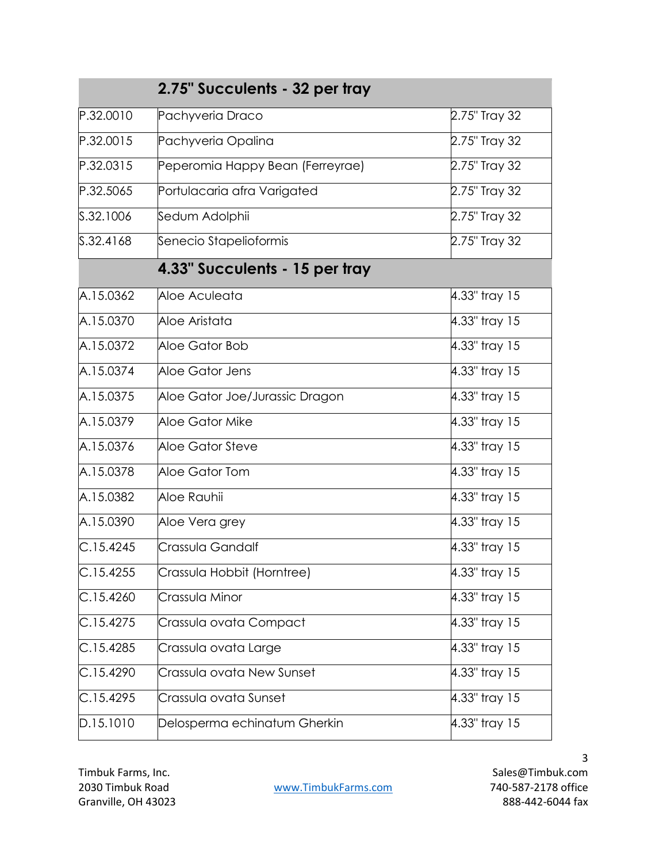| 2.75" Succulents - 32 per tray |                                  |               |
|--------------------------------|----------------------------------|---------------|
| P.32.0010                      | Pachyveria Draco                 | 2.75" Tray 32 |
| P.32.0015                      | Pachyveria Opalina               | 2.75" Tray 32 |
| P.32.0315                      | Peperomia Happy Bean (Ferreyrae) | 2.75" Tray 32 |
| P.32.5065                      | Portulacaria afra Varigated      | 2.75" Tray 32 |
| S.32.1006                      | Sedum Adolphii                   | 2.75" Tray 32 |
| S.32.4168                      | Senecio Stapelioformis           | 2.75" Tray 32 |
|                                | 4.33" Succulents - 15 per tray   |               |
| A.15.0362                      | Aloe Aculeata                    | 4.33" tray 15 |
| A.15.0370                      | Aloe Aristata                    | 4.33" tray 15 |
| A.15.0372                      | Aloe Gator Bob                   | 4.33" tray 15 |
| A.15.0374                      | Aloe Gator Jens                  | 4.33" tray 15 |
| A.15.0375                      | Aloe Gator Joe/Jurassic Dragon   | 4.33" tray 15 |
| A.15.0379                      | Aloe Gator Mike                  | 4.33" tray 15 |
| A.15.0376                      | Aloe Gator Steve                 | 4.33" tray 15 |
| A.15.0378                      | Aloe Gator Tom                   | 4.33" tray 15 |
| A.15.0382                      | Aloe Rauhii                      | 4.33" tray 15 |
| A.15.0390                      | Aloe Vera grey                   | 4.33" tray 15 |
| C.15.4245                      | Crassula Gandalf                 | 4.33" tray 15 |
| C.15.4255                      | Crassula Hobbit (Horntree)       | 4.33" tray 15 |
| C.15.4260                      | Crassula Minor                   | 4.33" tray 15 |
| C.15.4275                      | Crassula ovata Compact           | 4.33" tray 15 |
| C.15.4285                      | Crassula ovata Large             | 4.33" tray 15 |
| C.15.4290                      | Crassula ovata New Sunset        | 4.33" tray 15 |
| C.15.4295                      | Crassula ovata Sunset            | 4.33" tray 15 |
| D.15.1010                      | Delosperma echinatum Gherkin     | 4.33" tray 15 |

Timbuk Farms, Inc. Sales@Timbuk.com 2030 Timbuk Road [www.TimbukFarms.com](http://www.timbukfarms.com/) 740-587-2178 office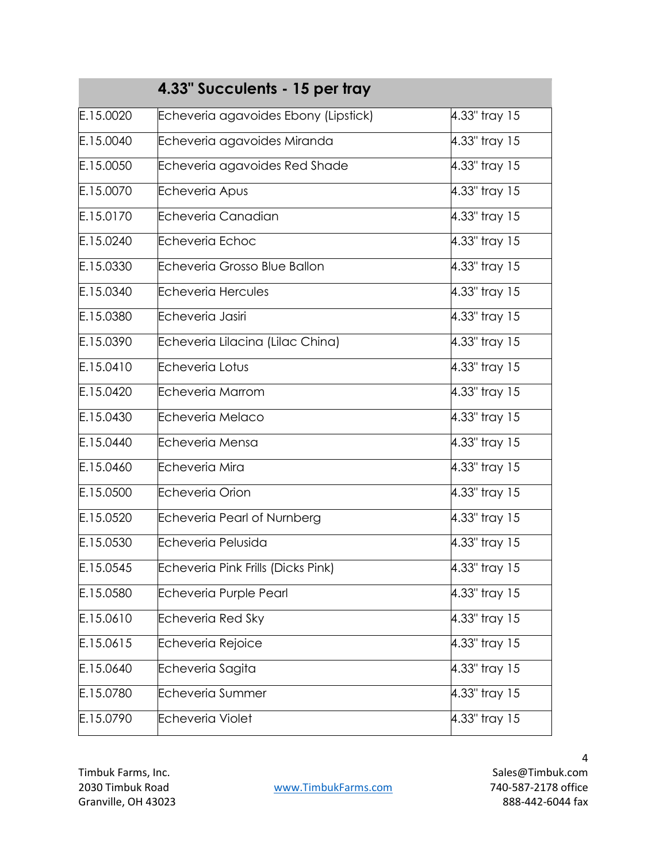| 4.33" Succulents - 15 per tray |                                      |               |
|--------------------------------|--------------------------------------|---------------|
| E.15.0020                      | Echeveria agavoides Ebony (Lipstick) | 4.33" tray 15 |
| E.15.0040                      | Echeveria agavoides Miranda          | 4.33" tray 15 |
| E.15.0050                      | Echeveria agavoides Red Shade        | 4.33" tray 15 |
| E.15.0070                      | Echeveria Apus                       | 4.33" tray 15 |
| E.15.0170                      | Echeveria Canadian                   | 4.33" tray 15 |
| E.15.0240                      | <b>Echeveria Echoc</b>               | 4.33" tray 15 |
| E.15.0330                      | Echeveria Grosso Blue Ballon         | 4.33" tray 15 |
| E.15.0340                      | <b>Echeveria Hercules</b>            | 4.33" tray 15 |
| E.15.0380                      | Echeveria Jasiri                     | 4.33" tray 15 |
| E.15.0390                      | Echeveria Lilacina (Lilac China)     | 4.33" tray 15 |
| E.15.0410                      | <b>Echeveria Lotus</b>               | 4.33" tray 15 |
| E.15.0420                      | Echeveria Marrom                     | 4.33" tray 15 |
| E.15.0430                      | Echeveria Melaco                     | 4.33" tray 15 |
| E.15.0440                      | Echeveria Mensa                      | 4.33" tray 15 |
| E.15.0460                      | Echeveria Mira                       | 4.33" tray 15 |
| E.15.0500                      | <b>Echeveria Orion</b>               | 4.33" tray 15 |
| E.15.0520                      | <b>Echeveria Pearl of Nurnberg</b>   | 4.33" tray 15 |
| E.15.0530                      | Echeveria Pelusida                   | 4.33" tray 15 |
| E.15.0545                      | Echeveria Pink Frills (Dicks Pink)   | 4.33" tray 15 |
| E.15.0580                      | Echeveria Purple Pearl               | 4.33" tray 15 |
| E.15.0610                      | Echeveria Red Sky                    | 4.33" tray 15 |
| E.15.0615                      | <b>Echeveria Rejoice</b>             | 4.33" tray 15 |
| E.15.0640                      | Echeveria Sagita                     | 4.33" tray 15 |
| E.15.0780                      | Echeveria Summer                     | 4.33" tray 15 |
| E.15.0790                      | <b>Echeveria Violet</b>              | 4.33" tray 15 |

2030 Timbuk Road [www.TimbukFarms.com](http://www.timbukfarms.com/) 740-587-2178 office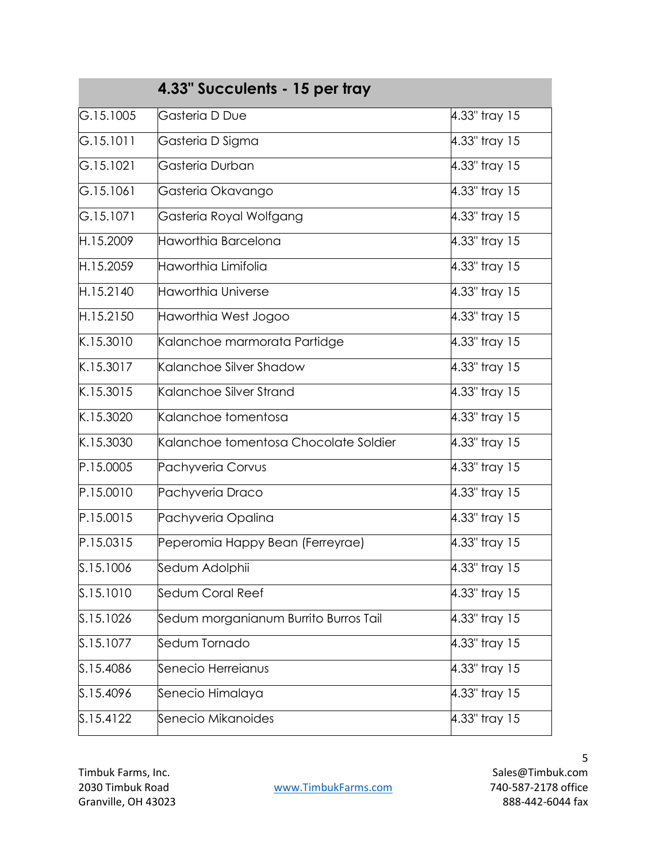| 4.33" Succulents - 15 per tray |                                       |               |
|--------------------------------|---------------------------------------|---------------|
| G.15.1005                      | Gasteria D Due                        | 4.33" tray 15 |
| G.15.1011                      | Gasteria D Sigma                      | 4.33" tray 15 |
| G.15.1021                      | Gasteria Durban                       | 4.33" tray 15 |
| G.15.1061                      | Gasteria Okavango                     | 4.33" tray 15 |
| G.15.1071                      | Gasteria Royal Wolfgang               | 4.33" tray 15 |
| H.15.2009                      | Haworthia Barcelona                   | 4.33" tray 15 |
| H.15.2059                      | Haworthia Limifolia                   | 4.33" tray 15 |
| H.15.2140                      | <b>Haworthia Universe</b>             | 4.33" tray 15 |
| H.15.2150                      | Haworthia West Jogoo                  | 4.33" tray 15 |
| K.15.3010                      | Kalanchoe marmorata Partidge          | 4.33" tray 15 |
| K.15.3017                      | Kalanchoe Silver Shadow               | 4.33" tray 15 |
| K.15.3015                      | Kalanchoe Silver Strand               | 4.33" tray 15 |
| K.15.3020                      | Kalanchoe tomentosa                   | 4.33" tray 15 |
| K.15.3030                      | Kalanchoe tomentosa Chocolate Soldier | 4.33" tray 15 |
| P.15.0005                      | Pachyveria Corvus                     | 4.33" tray 15 |
| P.15.0010                      | Pachyveria Draco                      | 4.33" tray 15 |
| P.15.0015                      | Pachyveria Opalina                    | 4.33" tray 15 |
| P.15.0315                      | Peperomia Happy Bean (Ferreyrae)      | 4.33" tray 15 |
| S.15.1006                      | Sedum Adolphii                        | 4.33" tray 15 |
| S.15.1010                      | Sedum Coral Reef                      | 4.33" tray 15 |
| S.15.1026                      | Sedum morganianum Burrito Burros Tail | 4.33" tray 15 |
| S.15.1077                      | Sedum Tornado                         | 4.33" tray 15 |
| S.15.4086                      | Senecio Herreianus                    | 4.33" tray 15 |
| S.15.4096                      | Senecio Himalaya                      | 4.33" tray 15 |
| S.15.4122                      | Senecio Mikanoides                    | 4.33" tray 15 |

2030 Timbuk Road [www.TimbukFarms.com](http://www.timbukfarms.com/) 740-587-2178 office

Timbuk Farms, Inc. Sales@Timbuk.com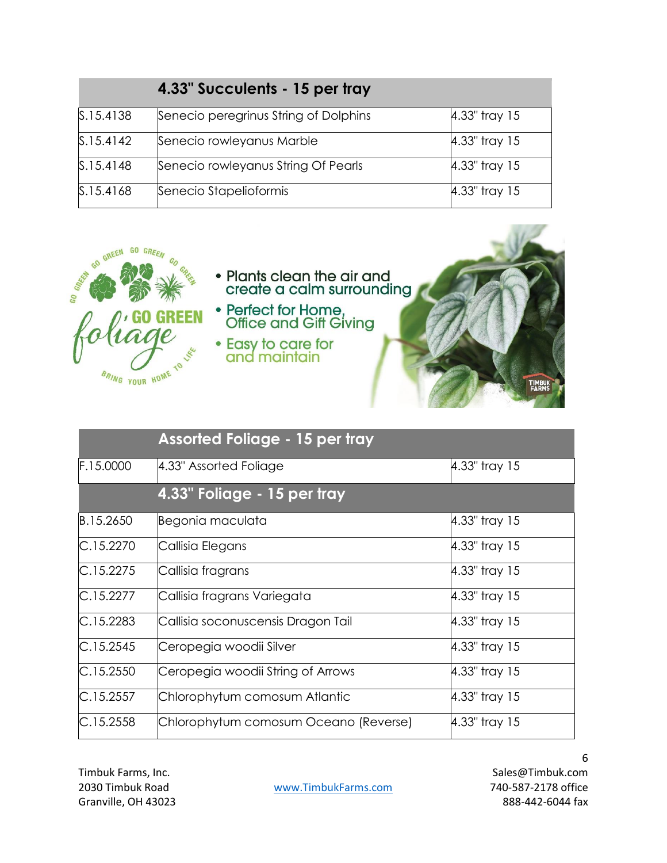|           | 4.33" Succulents - 15 per tray        |               |
|-----------|---------------------------------------|---------------|
| S.15.4138 | Senecio peregrinus String of Dolphins | 4.33" tray 15 |
| S.15.4142 | Senecio rowleyanus Marble             | 4.33" tray 15 |
| S.15.4148 | Senecio rowleyanus String Of Pearls   | 4.33" tray 15 |
| S.15.4168 | Senecio Stapelioformis                | 4.33" tray 15 |



|           | <b>Assorted Foliage - 15 per tray</b> |               |
|-----------|---------------------------------------|---------------|
| F.15.0000 | 4.33" Assorted Foliage                | 4.33" tray 15 |
|           | 4.33" Foliage - 15 per tray           |               |
| B.15.2650 | Begonia maculata                      | 4.33" tray 15 |
| C.15.2270 | Callisia Elegans                      | 4.33" tray 15 |
| C.15.2275 | Callisia fragrans                     | 4.33" tray 15 |
| C.15.2277 | Callisia fragrans Variegata           | 4.33" tray 15 |
| C.15.2283 | Callisia soconuscensis Dragon Tail    | 4.33" tray 15 |
| C.15.2545 | Ceropegia woodii Silver               | 4.33" tray 15 |
| C.15.2550 | Ceropegia woodii String of Arrows     | 4.33" tray 15 |
| C.15.2557 | Chlorophytum comosum Atlantic         | 4.33" tray 15 |
| C.15.2558 | Chlorophytum comosum Oceano (Reverse) | 4.33" tray 15 |

2030 Timbuk Road [www.TimbukFarms.com](http://www.timbukfarms.com/) 740-587-2178 office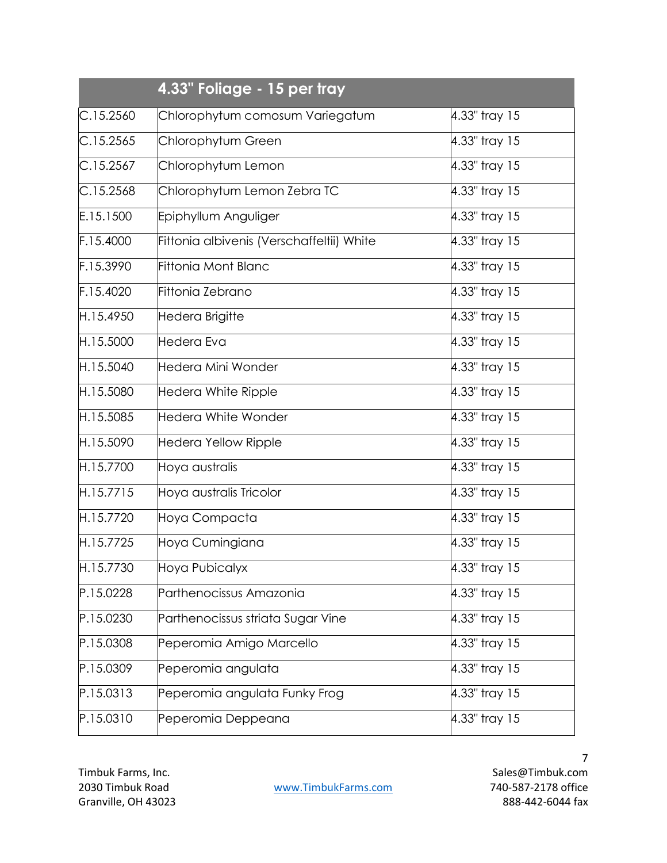|           | 4.33" Foliage - 15 per tray               |               |
|-----------|-------------------------------------------|---------------|
| C.15.2560 | Chlorophytum comosum Variegatum           | 4.33" tray 15 |
| C.15.2565 | Chlorophytum Green                        | 4.33" tray 15 |
| C.15.2567 | Chlorophytum Lemon                        | 4.33" tray 15 |
| C.15.2568 | Chlorophytum Lemon Zebra TC               | 4.33" tray 15 |
| E.15.1500 | Epiphyllum Anguliger                      | 4.33" tray 15 |
| F.15.4000 | Fittonia albivenis (Verschaffeltii) White | 4.33" tray 15 |
| F.15.3990 | <b>Fittonia Mont Blanc</b>                | 4.33" tray 15 |
| F.15.4020 | Fittonia Zebrano                          | 4.33" tray 15 |
| H.15.4950 | Hedera Brigitte                           | 4.33" tray 15 |
| H.15.5000 | Hedera Eva                                | 4.33" tray 15 |
| H.15.5040 | Hedera Mini Wonder                        | 4.33" tray 15 |
| H.15.5080 | Hedera White Ripple                       | 4.33" tray 15 |
| H.15.5085 | Hedera White Wonder                       | 4.33" tray 15 |
| H.15.5090 | Hedera Yellow Ripple                      | 4.33" tray 15 |
| H.15.7700 | Hoya australis                            | 4.33" tray 15 |
| H.15.7715 | Hoya australis Tricolor                   | 4.33" tray 15 |
| H.15.7720 | Hoya Compacta                             | 4.33" tray 15 |
| H.15.7725 | Hoya Cumingiana                           | 4.33" tray 15 |
| H.15.7730 | Hoya Pubicalyx                            | 4.33" tray 15 |
| P.15.0228 | Parthenocissus Amazonia                   | 4.33" tray 15 |
| P.15.0230 | Parthenocissus striata Sugar Vine         | 4.33" tray 15 |
| P.15.0308 | Peperomia Amigo Marcello                  | 4.33" tray 15 |
| P.15.0309 | Peperomia angulata                        | 4.33" tray 15 |
| P.15.0313 | Peperomia angulata Funky Frog             | 4.33" tray 15 |
| P.15.0310 | Peperomia Deppeana                        | 4.33" tray 15 |

2030 Timbuk Road [www.TimbukFarms.com](http://www.timbukfarms.com/) 740-587-2178 office

Timbuk Farms, Inc. Sales@Timbuk.com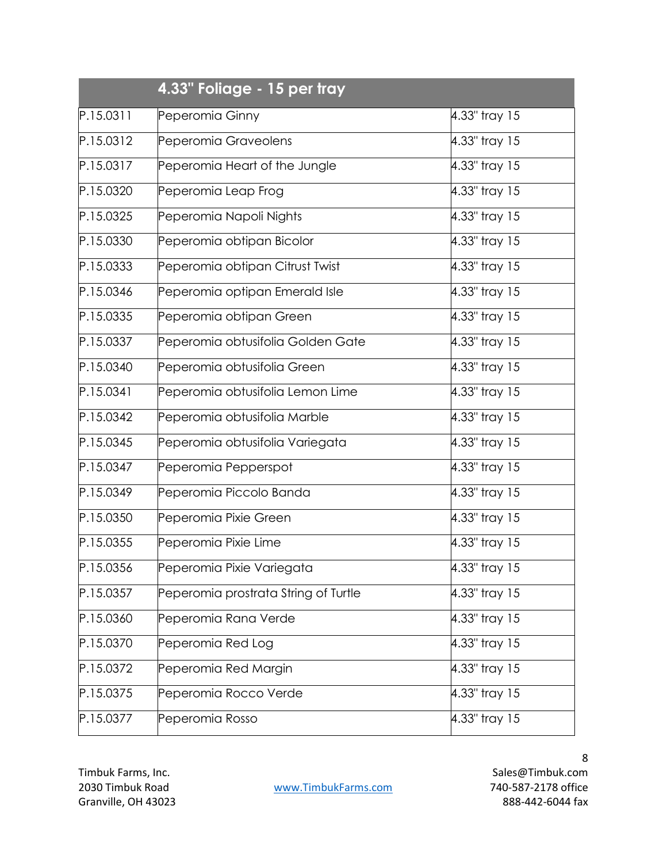|           | 4.33" Foliage - 15 per tray          |               |
|-----------|--------------------------------------|---------------|
| P.15.0311 | Peperomia Ginny                      | 4.33" tray 15 |
| P.15.0312 | Peperomia Graveolens                 | 4.33" tray 15 |
| P.15.0317 | Peperomia Heart of the Jungle        | 4.33" tray 15 |
| P.15.0320 | Peperomia Leap Frog                  | 4.33" tray 15 |
| P.15.0325 | Peperomia Napoli Nights              | 4.33" tray 15 |
| P.15.0330 | Peperomia obtipan Bicolor            | 4.33" tray 15 |
| P.15.0333 | Peperomia obtipan Citrust Twist      | 4.33" tray 15 |
| P.15.0346 | Peperomia optipan Emerald Isle       | 4.33" tray 15 |
| P.15.0335 | Peperomia obtipan Green              | 4.33" tray 15 |
| P.15.0337 | Peperomia obtusifolia Golden Gate    | 4.33" tray 15 |
| P.15.0340 | Peperomia obtusifolia Green          | 4.33" tray 15 |
| P.15.0341 | Peperomia obtusifolia Lemon Lime     | 4.33" tray 15 |
| P.15.0342 | Peperomia obtusifolia Marble         | 4.33" tray 15 |
| P.15.0345 | Peperomia obtusifolia Variegata      | 4.33" tray 15 |
| P.15.0347 | Peperomia Pepperspot                 | 4.33" tray 15 |
| P.15.0349 | Peperomia Piccolo Banda              | 4.33" tray 15 |
| P.15.0350 | Peperomia Pixie Green                | 4.33" tray 15 |
| P.15.0355 | Peperomia Pixie Lime                 | 4.33" tray 15 |
| P.15.0356 | Peperomia Pixie Variegata            | 4.33" tray 15 |
| P.15.0357 | Peperomia prostrata String of Turtle | 4.33" tray 15 |
| P.15.0360 | Peperomia Rana Verde                 | 4.33" tray 15 |
| P.15.0370 | Peperomia Red Log                    | 4.33" tray 15 |
| P.15.0372 | Peperomia Red Margin                 | 4.33" tray 15 |
| P.15.0375 | Peperomia Rocco Verde                | 4.33" tray 15 |
| P.15.0377 | Peperomia Rosso                      | 4.33" tray 15 |

2030 Timbuk Road WWW.TimbukFarms.com 740-587-2178 office

Timbuk Farms, Inc. Sales@Timbuk.com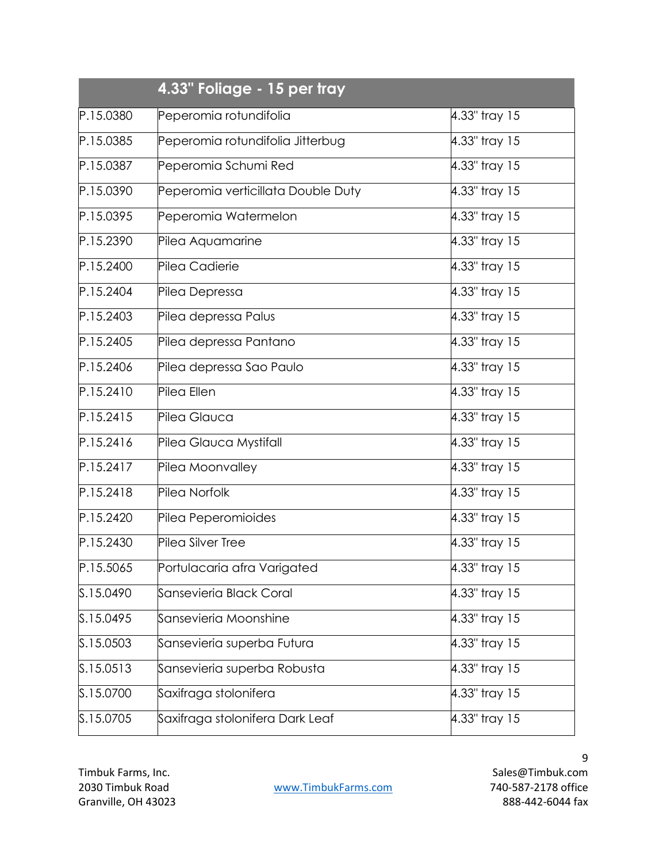| 4.33" Foliage - 15 per tray |                                    |               |
|-----------------------------|------------------------------------|---------------|
| P.15.0380                   | Peperomia rotundifolia             | 4.33" tray 15 |
| P.15.0385                   | Peperomia rotundifolia Jitterbug   | 4.33" tray 15 |
| P.15.0387                   | Peperomia Schumi Red               | 4.33" tray 15 |
| P.15.0390                   | Peperomia verticillata Double Duty | 4.33" tray 15 |
| P.15.0395                   | Peperomia Watermelon               | 4.33" tray 15 |
| P.15.2390                   | Pilea Aquamarine                   | 4.33" tray 15 |
| P.15.2400                   | Pilea Cadierie                     | 4.33" tray 15 |
| P.15.2404                   | Pilea Depressa                     | 4.33" tray 15 |
| P.15.2403                   | Pilea depressa Palus               | 4.33" tray 15 |
| P.15.2405                   | Pilea depressa Pantano             | 4.33" tray 15 |
| P.15.2406                   | Pilea depressa Sao Paulo           | 4.33" tray 15 |
| P.15.2410                   | Pilea Ellen                        | 4.33" tray 15 |
| P.15.2415                   | Pilea Glauca                       | 4.33" tray 15 |
| P.15.2416                   | Pilea Glauca Mystifall             | 4.33" tray 15 |
| P.15.2417                   | Pilea Moonvalley                   | 4.33" tray 15 |
| P.15.2418                   | Pilea Norfolk                      | 4.33" tray 15 |
| P.15.2420                   | Pilea Peperomioides                | 4.33" tray 15 |
| P.15.2430                   | Pilea Silver Tree                  | 4.33" tray 15 |
| P.15.5065                   | Portulacaria afra Varigated        | 4.33" tray 15 |
| S.15.0490                   | Sansevieria Black Coral            | 4.33" tray 15 |
| S.15.0495                   | Sansevieria Moonshine              | 4.33" tray 15 |
| S.15.0503                   | Sansevieria superba Futura         | 4.33" tray 15 |
| S.15.0513                   | Sansevieria superba Robusta        | 4.33" tray 15 |
| S.15.0700                   | Saxifraga stolonifera              | 4.33" tray 15 |
| S.15.0705                   | Saxifraga stolonifera Dark Leaf    | 4.33" tray 15 |

2030 Timbuk Road WWW.TimbukFarms.com 740-587-2178 office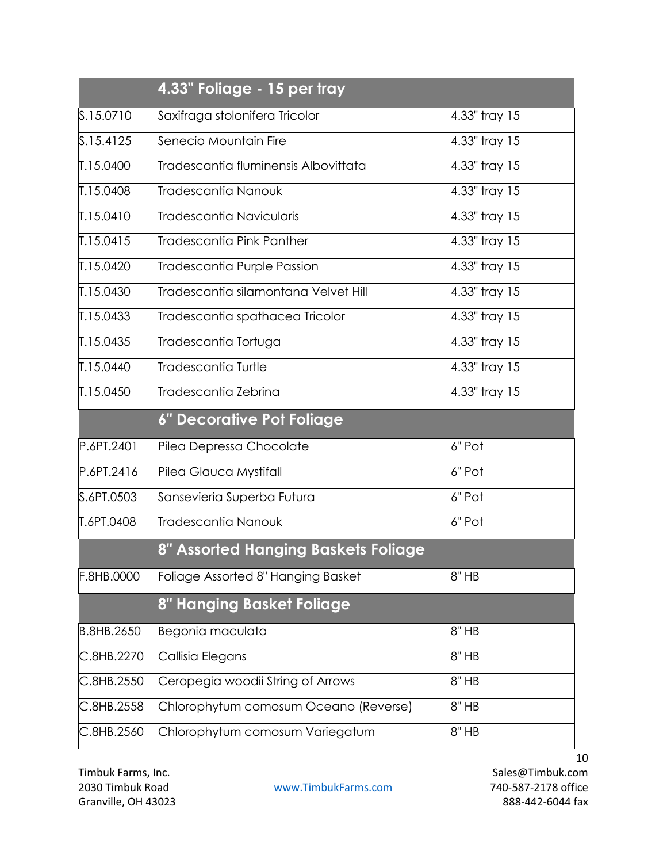|            | 4.33" Foliage - 15 per tray           |               |
|------------|---------------------------------------|---------------|
| S.15.0710  | Saxifraga stolonifera Tricolor        | 4.33" tray 15 |
| S.15.4125  | Senecio Mountain Fire                 | 4.33" tray 15 |
| T.15.0400  | līradescantia fluminensis Albovittata | 4.33" tray 15 |
| T.15.0408  | Tradescantia Nanouk                   | 4.33" tray 15 |
| T.15.0410  | Tradescantia Navicularis              | 4.33" tray 15 |
| T.15.0415  | Tradescantia Pink Panther             | 4.33" tray 15 |
| T.15.0420  | Tradescantia Purple Passion           | 4.33" tray 15 |
| T.15.0430  | Tradescantia silamontana Velvet Hill  | 4.33" tray 15 |
| T.15.0433  | Tradescantia spathacea Tricolor       | 4.33" tray 15 |
| T.15.0435  | Tradescantia Tortuga                  | 4.33" tray 15 |
| T.15.0440  | Tradescantia Turtle                   | 4.33" tray 15 |
| T.15.0450  | Tradescantia Zebrina                  | 4.33" tray 15 |
|            | <b>6" Decorative Pot Foliage</b>      |               |
| P.6PT.2401 | Pilea Depressa Chocolate              | 6" Pot        |
| P.6PT.2416 | Pilea Glauca Mystifall                | 6" Pot        |
| S.6PT.0503 | Sansevieria Superba Futura            | 6" Pot        |
| T.6PT.0408 | Tradescantia Nanouk                   | 6" Pot        |
|            | 8" Assorted Hanging Baskets Foliage   |               |
| F.8HB.0000 | Foliage Assorted 8" Hanging Basket    | 8" HB         |
|            | 8" Hanging Basket Foliage             |               |
| B.8HB.2650 | Begonia maculata                      | 8" HB         |
| C.8HB.2270 | Callisia Elegans                      | 8" HB         |
| C.8HB.2550 | Ceropegia woodii String of Arrows     | 8" HB         |
| C.8HB.2558 | Chlorophytum comosum Oceano (Reverse) | 8" HB         |
| C.8HB.2560 | Chlorophytum comosum Variegatum       | 8" HB         |

2030 Timbuk Road [www.TimbukFarms.com](http://www.timbukfarms.com/) 740-587-2178 office Granville, OH 43023 888-442-6044 fax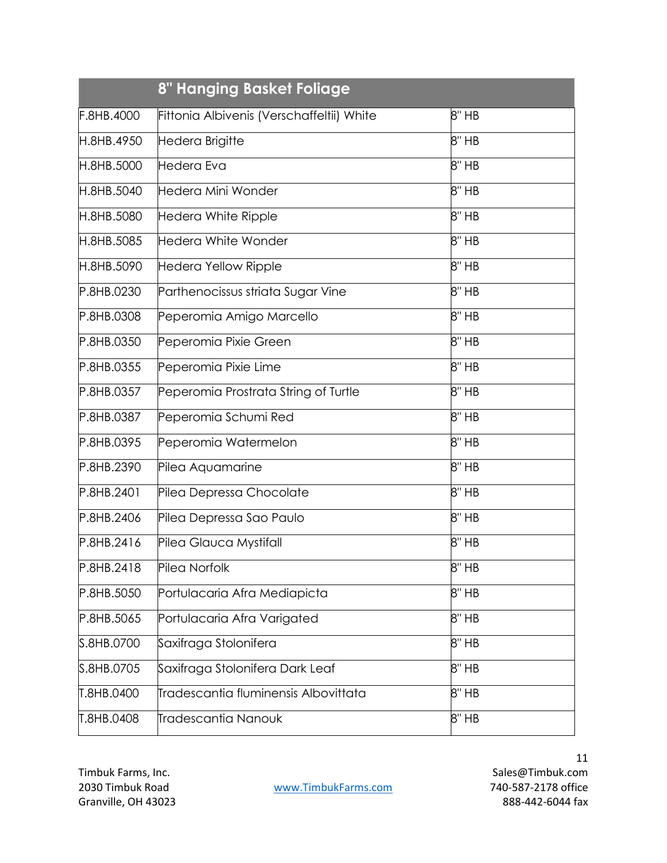|            | 8" Hanging Basket Foliage                 |       |
|------------|-------------------------------------------|-------|
| F.8HB.4000 | Fittonia Albivenis (Verschaffeltii) White | 8" HB |
| H.8HB.4950 | Hedera Brigitte                           | 8" HB |
| H.8HB.5000 | Hedera Eva                                | 8" HB |
| H.8HB.5040 | Hedera Mini Wonder                        | 8" HB |
| H.8HB.5080 | Hedera White Ripple                       | 8" HB |
| H.8HB.5085 | <b>Hedera White Wonder</b>                | 8" HB |
| H.8HB.5090 | Hedera Yellow Ripple                      | 8" HB |
| P.8HB.0230 | Parthenocissus striata Sugar Vine         | 8" HB |
| P.8HB.0308 | Peperomia Amigo Marcello                  | 8" HB |
| P.8HB.0350 | Peperomia Pixie Green                     | 8" HB |
| P.8HB.0355 | Peperomia Pixie Lime                      | 8" HB |
| P.8HB.0357 | Peperomia Prostrata String of Turtle      | 8" HB |
| P.8HB.0387 | Peperomia Schumi Red                      | 8" HB |
| P.8HB.0395 | Peperomia Watermelon                      | 8" HB |
| P.8HB.2390 | Pilea Aquamarine                          | 8" HB |
| P.8HB.2401 | Pilea Depressa Chocolate                  | 8" HB |
| P.8HB.2406 | Pilea Depressa Sao Paulo                  | 8" HB |
| P.8HB.2416 | Pilea Glauca Mystifall                    | 8" HB |
| P.8HB.2418 | Pilea Norfolk                             | 8" HB |
| P.8HB.5050 | Portulacaria Afra Mediapicta              | 8" HB |
| P.8HB.5065 | Portulacaria Afra Varigated               | 8" HB |
| S.8HB.0700 | Saxifraga Stolonifera                     | 8" HB |
| S.8HB.0705 | Saxifraga Stolonifera Dark Leaf           | 8" HB |
| T.8HB.0400 | Tradescantia fluminensis Albovittata      | 8" HB |
| T.8HB.0408 | Tradescantia Nanouk                       | 8" HB |

2030 Timbuk Road WWW.TimbukFarms.com 740-587-2178 office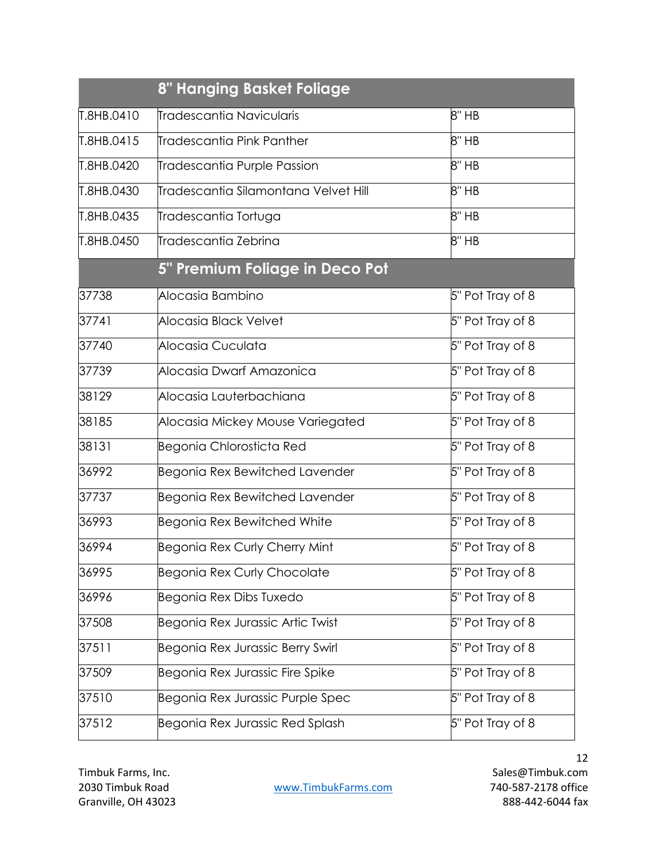| 8" Hanging Basket Foliage |                                       |                  |  |
|---------------------------|---------------------------------------|------------------|--|
| T.8HB.0410                | līradescantia Navicularis             | 8" HB            |  |
| T.8HB.0415                | līradescantia Pink Panther            | 8" HB            |  |
| T.8HB.0420                | Tradescantia Purple Passion           | 8" HB            |  |
| T.8HB.0430                | līradescantia Silamontana Velvet Hill | 8" HB            |  |
| T.8HB.0435                | Tradescantia Tortuga                  | 8" HB            |  |
| T.8HB.0450                | Tradescantia Zebrina                  | 8" HB            |  |
|                           | 5" Premium Foliage in Deco Pot        |                  |  |
| 37738                     | Alocasia Bambino                      | 5" Pot Tray of 8 |  |
| 37741                     | Alocasia Black Velvet                 | 5" Pot Tray of 8 |  |
| 37740                     | Alocasia Cuculata                     | 5" Pot Tray of 8 |  |
| 37739                     | Alocasia Dwarf Amazonica              | 5" Pot Tray of 8 |  |
| 38129                     | Alocasia Lauterbachiana               | 5" Pot Tray of 8 |  |
| 38185                     | Alocasia Mickey Mouse Variegated      | 5" Pot Tray of 8 |  |
| 38131                     | Begonia Chlorosticta Red              | 5" Pot Tray of 8 |  |
| 36992                     | Begonia Rex Bewitched Lavender        | 5" Pot Tray of 8 |  |
| 37737                     | Begonia Rex Bewitched Lavender        | 5" Pot Tray of 8 |  |
| 36993                     | Begonia Rex Bewitched White           | 5" Pot Tray of 8 |  |
| 36994                     | <b>Begonia Rex Curly Cherry Mint</b>  | 5" Pot Tray of 8 |  |
| 36995                     | <b>Begonia Rex Curly Chocolate</b>    | 5" Pot Tray of 8 |  |
| 36996                     | Begonia Rex Dibs Tuxedo               | 5" Pot Tray of 8 |  |
| 37508                     | Begonia Rex Jurassic Artic Twist      | 5" Pot Tray of 8 |  |
| 37511                     | Begonia Rex Jurassic Berry Swirl      | 5" Pot Tray of 8 |  |
| 37509                     | Begonia Rex Jurassic Fire Spike       | 5" Pot Tray of 8 |  |
| 37510                     | Begonia Rex Jurassic Purple Spec      | 5" Pot Tray of 8 |  |
| 37512                     | Begonia Rex Jurassic Red Splash       | 5" Pot Tray of 8 |  |

2030 Timbuk Road [www.TimbukFarms.com](http://www.timbukfarms.com/) 740-587-2178 office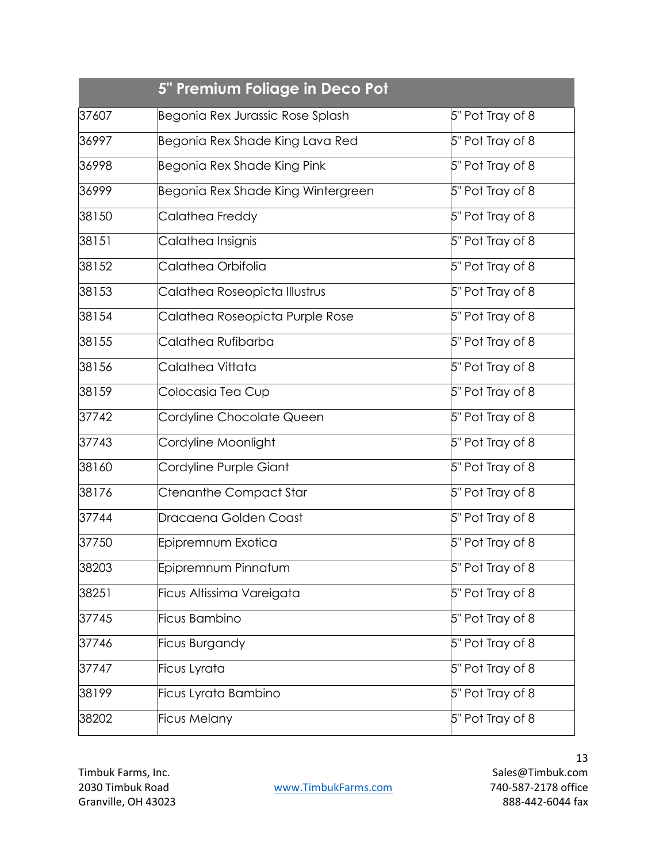| 37607 | Begonia Rex Jurassic Rose Splash   | 5" Pot Tray of 8 |
|-------|------------------------------------|------------------|
| 36997 | Begonia Rex Shade King Lava Red    | 5" Pot Tray of 8 |
| 36998 | Begonia Rex Shade King Pink        | 5" Pot Tray of 8 |
| 36999 | Begonia Rex Shade King Wintergreen | 5" Pot Tray of 8 |
| 38150 | Calathea Freddy                    | 5" Pot Tray of 8 |
| 38151 | Calathea Insignis                  | 5" Pot Tray of 8 |
| 38152 | Calathea Orbifolia                 | 5" Pot Tray of 8 |
| 38153 | Calathea Roseopicta Illustrus      | 5" Pot Tray of 8 |
| 38154 | Calathea Roseopicta Purple Rose    | 5" Pot Tray of 8 |
| 38155 | Calathea Rufibarba                 | 5" Pot Tray of 8 |
| 38156 | Calathea Vittata                   | 5" Pot Tray of 8 |
| 38159 | Colocasia Tea Cup                  | 5" Pot Tray of 8 |
| 37742 | Cordyline Chocolate Queen          | 5" Pot Tray of 8 |
| 37743 | Cordyline Moonlight                | 5" Pot Tray of 8 |
| 38160 | Cordyline Purple Giant             | 5" Pot Tray of 8 |
| 38176 | Ctenanthe Compact Star             | 5" Pot Tray of 8 |
| 37744 | Dracaena Golden Coast              | 5" Pot Tray of 8 |
| 37750 | Epipremnum Exotica                 | 5" Pot Tray of 8 |
| 38203 | Epipremnum Pinnatum                | 5" Pot Tray of 8 |
| 38251 | Ficus Altissima Vareigata          | 5" Pot Tray of 8 |
| 37745 | Ficus Bambino                      | 5" Pot Tray of 8 |
| 37746 | <b>Ficus Burgandy</b>              | 5" Pot Tray of 8 |
| 37747 | Ficus Lyrata                       | 5" Pot Tray of 8 |
| 38199 | Ficus Lyrata Bambino               | 5" Pot Tray of 8 |
| 38202 | Ficus Melany                       | 5" Pot Tray of 8 |

2030 Timbuk Road WWW.TimbukFarms.com 740-587-2178 office

Timbuk Farms, Inc. Sales@Timbuk.com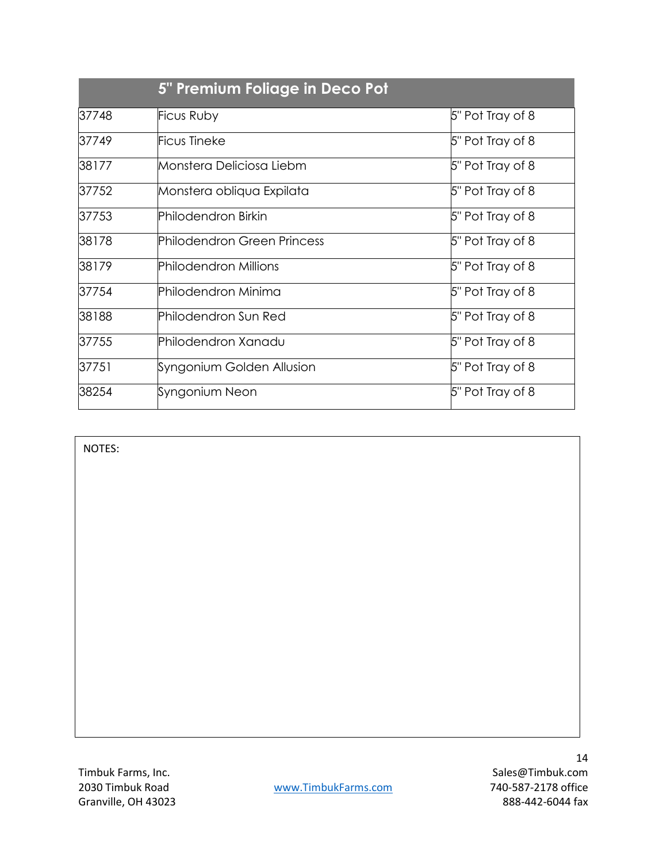|       | 5" Premium Foliage in Deco Pot |                  |  |  |
|-------|--------------------------------|------------------|--|--|
| 37748 | Ficus Ruby                     | 5" Pot Tray of 8 |  |  |
| 37749 | <b>Ficus Tineke</b>            | 5" Pot Tray of 8 |  |  |
| 38177 | Monstera Deliciosa Liebm       | 5" Pot Tray of 8 |  |  |
| 37752 | Monstera obliqua Expilata      | 5" Pot Tray of 8 |  |  |
| 37753 | Philodendron Birkin            | 5" Pot Tray of 8 |  |  |
| 38178 | Philodendron Green Princess    | 5" Pot Tray of 8 |  |  |
| 38179 | <b>Philodendron Millions</b>   | 5" Pot Tray of 8 |  |  |
| 37754 | Philodendron Minima            | 5" Pot Tray of 8 |  |  |
| 38188 | Philodendron Sun Red           | 5" Pot Tray of 8 |  |  |
| 37755 | Philodendron Xanadu            | 5" Pot Tray of 8 |  |  |
| 37751 | Syngonium Golden Allusion      | 5" Pot Tray of 8 |  |  |
| 38254 | Syngonium Neon                 | 5" Pot Tray of 8 |  |  |

NOTES:

Granville, OH 43023 888-442-6044 fax

 Timbuk Farms, Inc. Sales@Timbuk.com 2030 Timbuk Road [www.TimbukFarms.com](http://www.timbukfarms.com/) 740-587-2178 office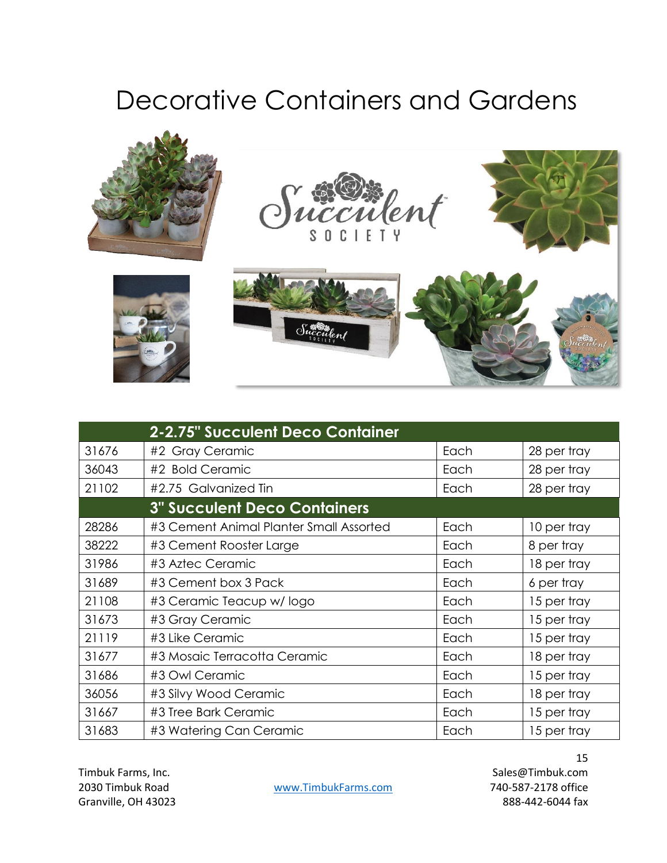## Decorative Containers and Gardens







|       | <b>2-2.75" Succulent Deco Container</b> |      |             |
|-------|-----------------------------------------|------|-------------|
| 31676 | #2 Gray Ceramic                         | Each | 28 per tray |
| 36043 | #2 Bold Ceramic                         | Each | 28 per tray |
| 21102 | #2.75 Galvanized Tin                    | Each | 28 per tray |
|       | <b>3" Succulent Deco Containers</b>     |      |             |
| 28286 | #3 Cement Animal Planter Small Assorted | Each | 10 per tray |
| 38222 | #3 Cement Rooster Large                 | Each | 8 per tray  |
| 31986 | #3 Aztec Ceramic                        | Each | 18 per tray |
| 31689 | #3 Cement box 3 Pack                    | Each | 6 per tray  |
| 21108 | #3 Ceramic Teacup w/logo                | Each | 15 per tray |
| 31673 | #3 Gray Ceramic                         | Each | 15 per tray |
| 21119 | #3 Like Ceramic                         | Each | 15 per tray |
| 31677 | #3 Mosaic Terracotta Ceramic            | Each | 18 per tray |
| 31686 | #3 Owl Ceramic                          | Each | 15 per tray |
| 36056 | #3 Silvy Wood Ceramic                   | Each | 18 per tray |
| 31667 | #3 Tree Bark Ceramic                    | Each | 15 per tray |
| 31683 | #3 Watering Can Ceramic                 | Each | 15 per tray |

2030 Timbuk Road [www.TimbukFarms.com](http://www.timbukfarms.com/) 740-587-2178 office

 Timbuk Farms, Inc. Sales@Timbuk.com Granville, OH 43023 888-442-6044 fax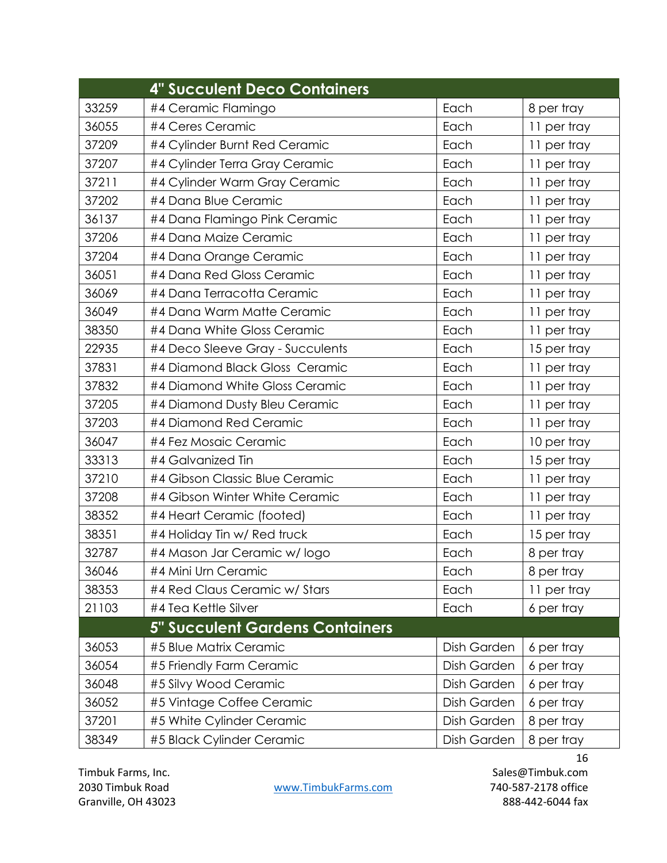|       | <b>4" Succulent Deco Containers</b>    |             |             |
|-------|----------------------------------------|-------------|-------------|
| 33259 | #4 Ceramic Flamingo                    | Each        | 8 per tray  |
| 36055 | #4 Ceres Ceramic                       | Each        | 11 per tray |
| 37209 | #4 Cylinder Burnt Red Ceramic          | Each        | 11 per tray |
| 37207 | #4 Cylinder Terra Gray Ceramic         | Each        | 11 per tray |
| 37211 | #4 Cylinder Warm Gray Ceramic          | Each        | 11 per tray |
| 37202 | #4 Dana Blue Ceramic                   | Each        | 11 per tray |
| 36137 | #4 Dana Flamingo Pink Ceramic          | Each        | 11 per tray |
| 37206 | #4 Dana Maize Ceramic                  | Each        | 11 per tray |
| 37204 | #4 Dana Orange Ceramic                 | Each        | 11 per tray |
| 36051 | #4 Dana Red Gloss Ceramic              | Each        | 11 per tray |
| 36069 | #4 Dana Terracotta Ceramic             | Each        | 11 per tray |
| 36049 | #4 Dana Warm Matte Ceramic             | Each        | 11 per tray |
| 38350 | #4 Dana White Gloss Ceramic            | Each        | 11 per tray |
| 22935 | #4 Deco Sleeve Gray - Succulents       | Each        | 15 per tray |
| 37831 | #4 Diamond Black Gloss Ceramic         | Each        | 11 per tray |
| 37832 | #4 Diamond White Gloss Ceramic         | Each        | 11 per tray |
| 37205 | #4 Diamond Dusty Bleu Ceramic          | Each        | 11 per tray |
| 37203 | #4 Diamond Red Ceramic                 | Each        | 11 per tray |
| 36047 | #4 Fez Mosaic Ceramic                  | Each        | 10 per tray |
| 33313 | #4 Galvanized Tin                      | Each        | 15 per tray |
| 37210 | #4 Gibson Classic Blue Ceramic         | Each        | 11 per tray |
| 37208 | #4 Gibson Winter White Ceramic         | Each        | 11 per tray |
| 38352 | #4 Heart Ceramic (footed)              | Each        | 11 per tray |
| 38351 | #4 Holiday Tin w/ Red truck            | Each        | 15 per tray |
| 32787 | #4 Mason Jar Ceramic w/logo            | Each        | 8 per tray  |
| 36046 | #4 Mini Urn Ceramic                    | Each        | 8 per tray  |
| 38353 | #4 Red Claus Ceramic w/ Stars          | Each        | 11 per tray |
| 21103 | #4 Tea Kettle Silver                   | Each        | 6 per tray  |
|       | <b>5" Succulent Gardens Containers</b> |             |             |
| 36053 | #5 Blue Matrix Ceramic                 | Dish Garden | 6 per tray  |
| 36054 | #5 Friendly Farm Ceramic               | Dish Garden | 6 per tray  |
| 36048 | #5 Silvy Wood Ceramic                  | Dish Garden | 6 per tray  |
| 36052 | #5 Vintage Coffee Ceramic              | Dish Garden | 6 per tray  |
| 37201 | #5 White Cylinder Ceramic              | Dish Garden | 8 per tray  |
| 38349 | #5 Black Cylinder Ceramic              | Dish Garden | 8 per tray  |

2030 Timbuk Road [www.TimbukFarms.com](http://www.timbukfarms.com/) 740-587-2178 office Granville, OH 43023 888-442-6044 fax